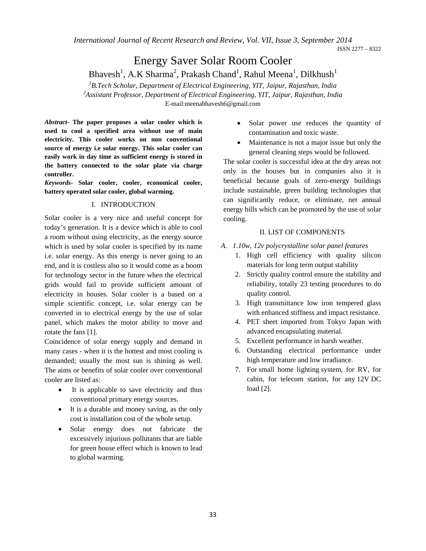*International Journal of Recent Research and Review, Vol. VII, Issue 3, September 2014* 

ISSN 2277 – 8322

# Energy Saver Solar Room Cooler

## Bhavesh<sup>1</sup>, A.K Sharma<sup>2</sup>, Prakash Chand<sup>1</sup>, Rahul Meena<sup>1</sup>, Dilkhush<sup>1</sup>

<sup>1</sup> B.Tech Scholar, Department of Electrical Engineering, YIT, Jaipur, Rajasthan, India <sup>2</sup> Assistant Professor, Department of Electrical Engineering, YIT, Jaipur, Bajasthan, India *Assistant Professor, Department of Electrical Engineering, YIT, Jaipur, Rajasthan, India*  E-mail:meenabhavesh6@gmail.com

*Abstract-* **The paper proposes a solar cooler which is used to cool a specified area without use of main electricity. This cooler works on non conventional source of energy i.e solar energy. This solar cooler can easily work in day time as sufficient energy is stored in the battery connected to the solar plate via charge controller.** 

*Keywords-* **Solar cooler, cooler, economical cooler, battery operated solar cooler, global warming.** 

#### I. INTRODUCTION

Solar cooler is a very nice and useful concept for today's generation. It is a device which is able to cool a room without using electricity, as the energy source which is used by solar cooler is specified by its name i.e. solar energy. As this energy is never going to an end, and it is costless also so it would come as a boom for technology sector in the future when the electrical grids would fail to provide sufficient amount of electricity in houses. Solar cooler is a based on a simple scientific concept, i.e. solar energy can be converted in to electrical energy by the use of solar panel, which makes the motor ability to move and rotate the fans [1].

Coincidence of solar energy supply and demand in many cases - when it is the hottest and most cooling is demanded; usually the most sun is shining as well. The aims or benefits of solar cooler over conventional cooler are listed as:

- It is applicable to save electricity and thus conventional primary energy sources.
- It is a durable and money saving, as the only cost is installation cost of the whole setup.
- Solar energy does not fabricate the excessively injurious pollutants that are liable for green house effect which is known to lead to global warming.
- Solar power use reduces the quantity of contamination and toxic waste.
- Maintenance is not a major issue but only the general cleaning steps would be followed.

The solar cooler is successful idea at the dry areas not only in the houses but in companies also it is beneficial because goals of zero-energy buildings include sustainable, green building technologies that can significantly reduce, or eliminate, net annual energy bills which can be promoted by the use of solar cooling.

#### II. LIST OF COMPONENTS

- *A. 1.10w, 12v polycrystalline solar panel features* 
	- 1. High cell efficiency with quality silicon materials for long term output stability
	- 2. Strictly quality control ensure the stability and reliability, totally 23 testing procedures to do quality control.
	- 3. High transmittance low iron tempered glass with enhanced stiffness and impact resistance.
	- 4. PET sheet imported from Tokyo Japan with advanced encapsulating material.
	- 5. Excellent performance in harsh weather.
	- 6. Outstanding electrical performance under high temperature and low irradiance.
	- 7. For small home lighting system, for RV, for cabin, for telecom station, for any 12V DC load [2].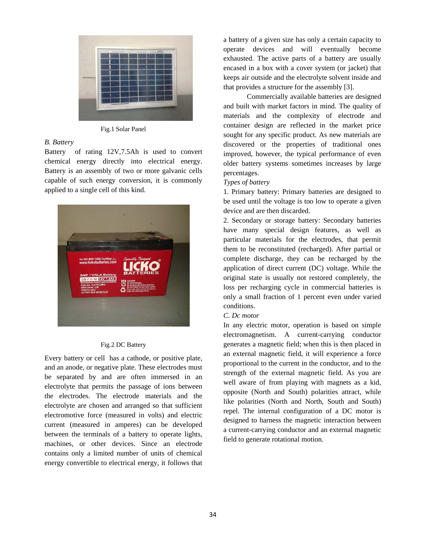

Fig.1 Solar Panel

## *B. Battery*

Battery of rating 12V,7.5Ah is used to convert chemical energy directly into electrical energy. Battery is an assembly of two or more galvanic cells capable of such energy conversion, it is commonly applied to a single cell of this kind.



#### Fig.2 DC Battery

Every battery or cell has a cathode, or positive plate, and an anode, or negative plate. These electrodes must be separated by and are often immersed in an electrolyte that permits the passage of ions between the electrodes. The electrode materials and the electrolyte are chosen and arranged so that sufficient electromotive force (measured in volts) and electric current (measured in amperes) can be developed between the terminals of a battery to operate lights, machines, or other devices. Since an electrode contains only a limited number of units of chemical energy convertible to electrical energy, it follows that

a battery of a given size has only a certain capacity to operate devices and will eventually become exhausted. The active parts of a battery are usually encased in a box with a cover system (or jacket) that keeps air outside and the electrolyte solvent inside and that provides a structure for the assembly [3].

Commercially available batteries are designed and built with market factors in mind. The quality of materials and the complexity of electrode and container design are reflected in the market price sought for any specific product. As new materials are discovered or the properties of traditional ones improved, however, the typical performance of even older battery systems sometimes increases by large percentages.

### *Types of battery*

1. Primary battery: Primary batteries are designed to be used until the voltage is too low to operate a given device and are then discarded.

2. Secondary or storage battery: Secondary batteries have many special design features, as well as particular materials for the electrodes, that permit them to be reconstituted (recharged). After partial or complete discharge, they can be recharged by the application of direct current (DC) voltage. While the original state is usually not restored completely, the loss per recharging cycle in commercial batteries is only a small fraction of 1 percent even under varied conditions.

#### *C. Dc motor*

In any electric motor, operation is based on simple electromagnetism. A current-carrying conductor generates a magnetic field; when this is then placed in an external magnetic field, it will experience a force proportional to the current in the conductor, and to the strength of the external magnetic field. As you are well aware of from playing with magnets as a kid, opposite (North and South) polarities attract, while like polarities (North and North, South and South) repel. The internal configuration of a DC motor is designed to harness the magnetic interaction between a current-carrying conductor and an external magnetic field to generate rotational motion.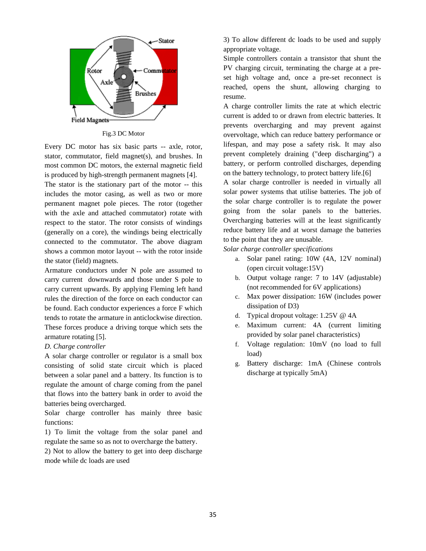

Fig.3 DC Motor

Every DC motor has six basic parts -- axle, rotor, stator, commutator, field magnet(s), and brushes. In most common DC motors, the external magnetic field is produced by high-strength permanent magnets [4].

The stator is the stationary part of the motor -- this includes the motor casing, as well as two or more permanent magnet pole pieces. The rotor (together with the axle and attached commutator) rotate with respect to the stator. The rotor consists of windings (generally on a core), the windings being electrically connected to the commutator. The above diagram shows a common motor layout -- with the rotor inside the stator (field) magnets.

Armature conductors under N pole are assumed to carry current downwards and those under S pole to carry current upwards. By applying Fleming left hand rules the direction of the force on each conductor can be found. Each conductor experiences a force F which tends to rotate the armature in anticlockwise direction. These forces produce a driving torque which sets the armature rotating [5].

#### *D. Charge controller*

A solar charge controller or regulator is a small box consisting of solid state circuit which is placed between a solar panel and a battery. Its function is to regulate the amount of charge coming from the panel that flows into the battery bank in order to avoid the batteries being overcharged.

Solar charge controller has mainly three basic functions:

1) To limit the voltage from the solar panel and regulate the same so as not to overcharge the battery.

2) Not to allow the battery to get into deep discharge mode while dc loads are used

3) To allow different dc loads to be used and supply appropriate voltage.

Simple controllers contain a transistor that shunt the PV charging circuit, terminating the charge at a preset high voltage and, once a pre-set reconnect is reached, opens the shunt, allowing charging to resume.

A charge controller limits the rate at which electric current is added to or drawn from electric batteries. It prevents overcharging and may prevent against overvoltage, which can reduce battery performance or lifespan, and may pose a safety risk. It may also prevent completely draining ("deep discharging") a battery, or perform controlled discharges, depending on the battery technology, to protect battery life.[6]

A solar charge controller is needed in virtually all solar power systems that utilise batteries. The job of the solar charge controller is to regulate the power going from the solar panels to the batteries. Overcharging batteries will at the least significantly reduce battery life and at worst damage the batteries to the point that they are unusable.

*Solar charge controller specifications* 

- a. Solar panel rating: 10W (4A, 12V nominal) (open circuit voltage:15V)
- b. Output voltage range: 7 to 14V (adjustable) (not recommended for 6V applications)
- c. Max power dissipation: 16W (includes power dissipation of D3)
- d. Typical dropout voltage: 1.25V @ 4A
- e. Maximum current: 4A (current limiting provided by solar panel characteristics)
- f. Voltage regulation: 10mV (no load to full load)
- g. Battery discharge: 1mA (Chinese controls discharge at typically 5mA)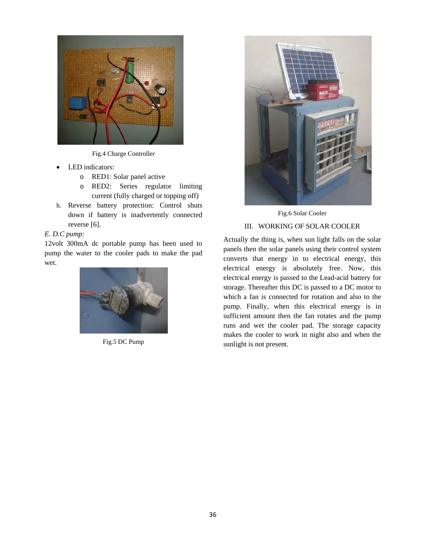

Fig.4 Charge Controller

- LED indicators:
	- o RED1: Solar panel active
	- o RED2: Series regulator limiting current (fully charged or topping off)
- h. Reverse battery protection: Control shuts down if battery is inadvertently connected reverse [6].

## *E. D.C pump:*

12volt 300mA dc portable pump has been used to pump the water to the cooler pads to make the pad wet.



Fig.5 DC Pump



Fig.6 Solar Cooler

## III. WORKING OF SOLAR COOLER

Actually the thing is, when sun light falls on the solar panels then the solar panels using their control system converts that energy in to electrical energy, this electrical energy is absolutely free. Now, this electrical energy is passed to the Lead-acid battery for storage. Thereafter this DC is passed to a DC motor to which a fan is connected for rotation and also to the pump. Finally, when this electrical energy is in sufficient amount then the fan rotates and the pump runs and wet the cooler pad. The storage capacity makes the cooler to work in night also and when the sunlight is not present.